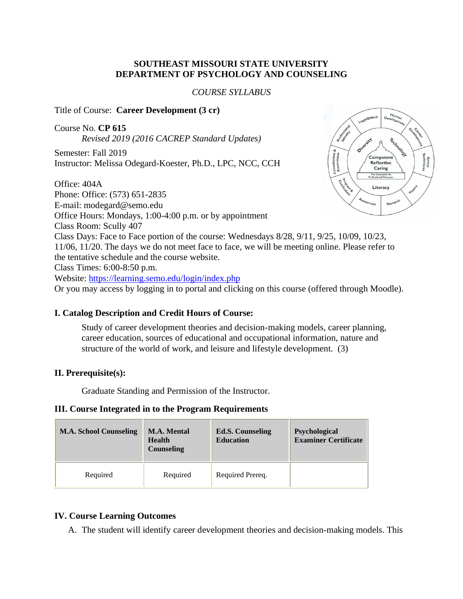### **SOUTHEAST MISSOURI STATE UNIVERSITY DEPARTMENT OF PSYCHOLOGY AND COUNSELING**

*COURSE SYLLABUS*

Title of Course: **Career Development (3 cr)** 

Course No. **CP 615** *Revised 2019 (2016 CACREP Standard Updates)*

Semester: Fall 2019 Instructor: Melissa Odegard-Koester, Ph.D., LPC, NCC, CCH

Office: 404A Phone: Office: (573) 651-2835 E-mail: modegard@semo.edu Office Hours: Mondays, 1:00-4:00 p.m. or by appointment Class Room: Scully 407 Class Days: Face to Face portion of the course: Wednesdays 8/28, 9/11, 9/25, 10/09, 10/23, 11/06, 11/20. The days we do not meet face to face, we will be meeting online. Please refer to the tentative schedule and the course website. Class Times: 6:00-8:50 p.m. Website: <https://learning.semo.edu/login/index.php> Or you may access by logging in to portal and clicking on this course (offered through Moodle).

### **I. Catalog Description and Credit Hours of Course:**

Study of career development theories and decision-making models, career planning, career education, sources of educational and occupational information, nature and structure of the world of work, and leisure and lifestyle development. (3)

### **II. Prerequisite(s):**

Graduate Standing and Permission of the Instructor.

### **III. Course Integrated in to the Program Requirements**

| <b>M.A. School Counseling</b> | <b>M.A. Mental</b><br><b>Health</b><br>Counseling | <b>Ed.S. Counseling</b><br><b>Education</b> | <b>Psychological</b><br><b>Examiner Certificate</b> |
|-------------------------------|---------------------------------------------------|---------------------------------------------|-----------------------------------------------------|
| Required                      | Required                                          | Required Prereq.                            |                                                     |

### **IV. Course Learning Outcomes**

A. The student will identify career development theories and decision-making models. This

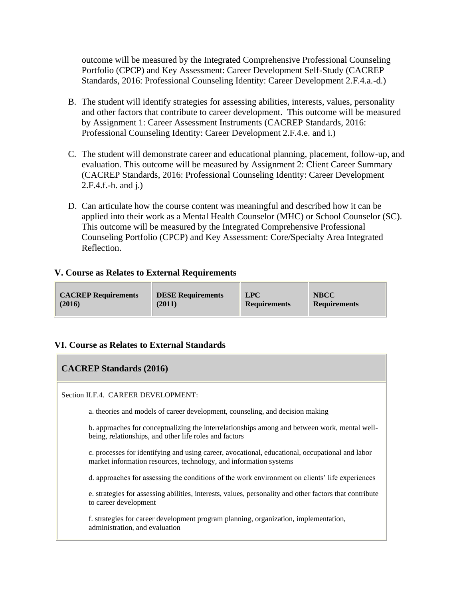outcome will be measured by the Integrated Comprehensive Professional Counseling Portfolio (CPCP) and Key Assessment: Career Development Self-Study (CACREP Standards, 2016: Professional Counseling Identity: Career Development 2.F.4.a.-d.)

- B. The student will identify strategies for assessing abilities, interests, values, personality and other factors that contribute to career development. This outcome will be measured by Assignment 1: Career Assessment Instruments (CACREP Standards, 2016: Professional Counseling Identity: Career Development 2.F.4.e. and i.)
- C. The student will demonstrate career and educational planning, placement, follow-up, and evaluation. This outcome will be measured by Assignment 2: Client Career Summary (CACREP Standards, 2016: Professional Counseling Identity: Career Development 2.F.4.f.-h. and j.)
- D. Can articulate how the course content was meaningful and described how it can be applied into their work as a Mental Health Counselor (MHC) or School Counselor (SC). This outcome will be measured by the Integrated Comprehensive Professional Counseling Portfolio (CPCP) and Key Assessment: Core/Specialty Area Integrated Reflection.

### **V. Course as Relates to External Requirements**

### **VI. Course as Relates to External Standards**

| <b>CACREP Standards (2016)</b>                                                                                                                                       |  |  |  |
|----------------------------------------------------------------------------------------------------------------------------------------------------------------------|--|--|--|
| Section II.F.4. CAREER DEVELOPMENT:                                                                                                                                  |  |  |  |
| a. theories and models of career development, counseling, and decision making                                                                                        |  |  |  |
| b. approaches for conceptualizing the interrelationships among and between work, mental well-<br>being, relationships, and other life roles and factors              |  |  |  |
| c. processes for identifying and using career, avocational, educational, occupational and labor<br>market information resources, technology, and information systems |  |  |  |
| d. approaches for assessing the conditions of the work environment on clients' life experiences                                                                      |  |  |  |
| e. strategies for assessing abilities, interests, values, personality and other factors that contribute<br>to career development                                     |  |  |  |
| f. strategies for career development program planning, organization, implementation,<br>administration, and evaluation                                               |  |  |  |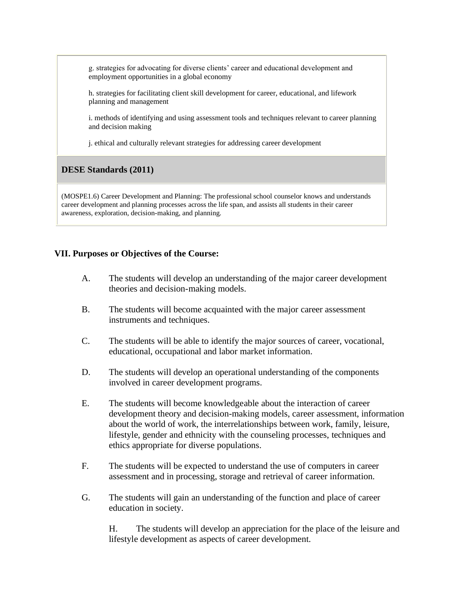g. strategies for advocating for diverse clients' career and educational development and employment opportunities in a global economy

h. strategies for facilitating client skill development for career, educational, and lifework planning and management

i. methods of identifying and using assessment tools and techniques relevant to career planning and decision making

j. ethical and culturally relevant strategies for addressing career development

### **DESE Standards (2011)**

(MOSPE1.6) Career Development and Planning: The professional school counselor knows and understands career development and planning processes across the life span, and assists all students in their career awareness, exploration, decision-making, and planning.

### **VII. Purposes or Objectives of the Course:**

- A. The students will develop an understanding of the major career development theories and decision-making models.
- B. The students will become acquainted with the major career assessment instruments and techniques.
- C. The students will be able to identify the major sources of career, vocational, educational, occupational and labor market information.
- D. The students will develop an operational understanding of the components involved in career development programs.
- E. The students will become knowledgeable about the interaction of career development theory and decision-making models, career assessment, information about the world of work, the interrelationships between work, family, leisure, lifestyle, gender and ethnicity with the counseling processes, techniques and ethics appropriate for diverse populations.
- F. The students will be expected to understand the use of computers in career assessment and in processing, storage and retrieval of career information.
- G. The students will gain an understanding of the function and place of career education in society.

H. The students will develop an appreciation for the place of the leisure and lifestyle development as aspects of career development.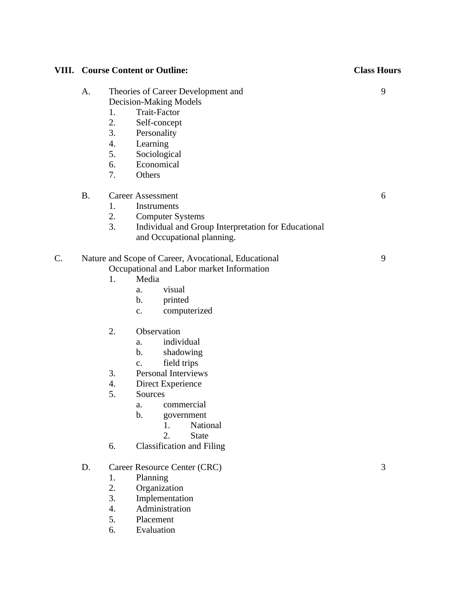| VIII. |           | <b>Course Content or Outline:</b>                                                                                                                                                                                                                                                                                                                                                                                                                                          | <b>Class Hours</b> |
|-------|-----------|----------------------------------------------------------------------------------------------------------------------------------------------------------------------------------------------------------------------------------------------------------------------------------------------------------------------------------------------------------------------------------------------------------------------------------------------------------------------------|--------------------|
|       | A.        | Theories of Career Development and<br><b>Decision-Making Models</b><br><b>Trait-Factor</b><br>1.<br>2.<br>Self-concept<br>3.<br>Personality<br>4.<br>Learning<br>5.<br>Sociological<br>6.<br>Economical<br>7.<br>Others                                                                                                                                                                                                                                                    | 9                  |
|       | <b>B.</b> | <b>Career Assessment</b><br>1.<br>Instruments<br>2.<br><b>Computer Systems</b><br>3.<br>Individual and Group Interpretation for Educational<br>and Occupational planning.                                                                                                                                                                                                                                                                                                  | 6                  |
| C.    |           | Nature and Scope of Career, Avocational, Educational<br>Occupational and Labor market Information<br>Media<br>1.<br>visual<br>a.<br>printed<br>b.<br>computerized<br>c.<br>2.<br>Observation<br>individual<br>a.<br>shadowing<br>$\mathbf b$ .<br>field trips<br>c.<br><b>Personal Interviews</b><br>3.<br>Direct Experience<br>4.<br>5.<br>Sources<br>a. commercial<br>b.<br>government<br>National<br>1.<br>2.<br><b>State</b><br><b>Classification and Filing</b><br>6. | 9                  |
|       | D.        | Career Resource Center (CRC)<br>Planning<br>1.<br>2.<br>Organization<br>3.<br>Implementation<br>Administration<br>4.<br>5.<br>Placement<br>Evaluation<br>6.                                                                                                                                                                                                                                                                                                                | 3                  |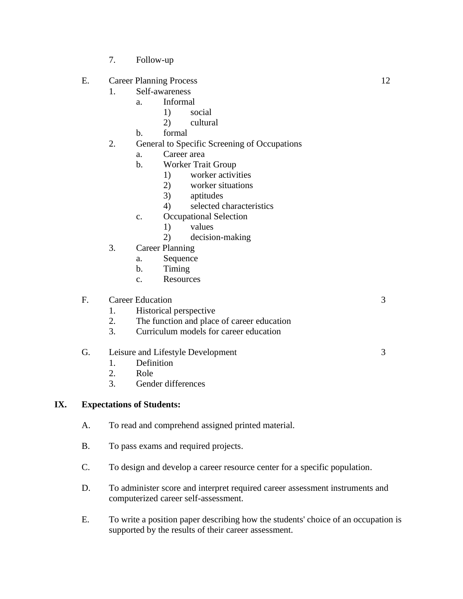- 7. Follow-up
- E. Career Planning Process 12
	- 1. Self-awareness
		- a. Informal
			- 1) social
			- 2) cultural
		- b. formal
	- 2. General to Specific Screening of Occupations
		- a. Career area
		- b. Worker Trait Group
			- 1) worker activities
			- 2) worker situations
			- 3) aptitudes
			- 4) selected characteristics
		- c. Occupational Selection
			- 1) values
			- 2) decision-making
	- 3. Career Planning
		- a. Sequence
		- b. Timing
		- c. Resources

### F. Career Education 3

- 1. Historical perspective 2. The function and place of career education
- 3. Curriculum models for career education

### G. Leisure and Lifestyle Development 3

- 1. Definition
- 2. Role
- 3. Gender differences

### **IX. Expectations of Students:**

- A. To read and comprehend assigned printed material.
- B. To pass exams and required projects.
- C. To design and develop a career resource center for a specific population.
- D. To administer score and interpret required career assessment instruments and computerized career self-assessment.
- E. To write a position paper describing how the students' choice of an occupation is supported by the results of their career assessment.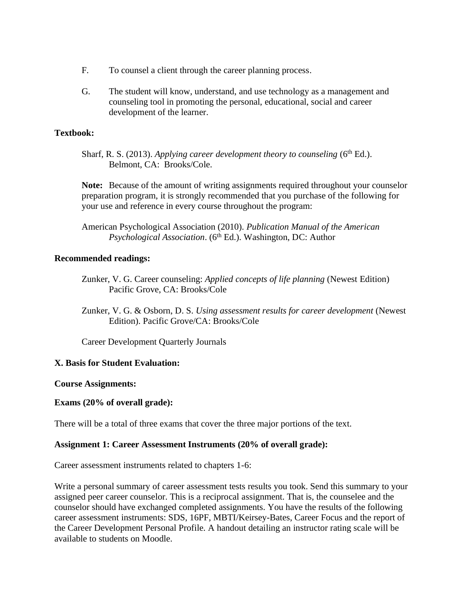- F. To counsel a client through the career planning process.
- G. The student will know, understand, and use technology as a management and counseling tool in promoting the personal, educational, social and career development of the learner.

### **Textbook:**

Sharf, R. S. (2013). Applying career development theory to counseling (6<sup>th</sup> Ed.). Belmont, CA: Brooks/Cole.

**Note:** Because of the amount of writing assignments required throughout your counselor preparation program, it is strongly recommended that you purchase of the following for your use and reference in every course throughout the program:

American Psychological Association (2010). *Publication Manual of the American Psychological Association.* (6<sup>th</sup> Ed.). Washington, DC: Author

### **Recommended readings:**

- Zunker, V. G. Career counseling: *Applied concepts of life planning* (Newest Edition) Pacific Grove, CA: Brooks/Cole
- Zunker, V. G. & Osborn, D. S. *Using assessment results for career development* (Newest Edition). Pacific Grove/CA: Brooks/Cole

Career Development Quarterly Journals

### **X. Basis for Student Evaluation:**

### **Course Assignments:**

### **Exams (20% of overall grade):**

There will be a total of three exams that cover the three major portions of the text.

### **Assignment 1: Career Assessment Instruments (20% of overall grade):**

Career assessment instruments related to chapters 1-6:

Write a personal summary of career assessment tests results you took. Send this summary to your assigned peer career counselor. This is a reciprocal assignment. That is, the counselee and the counselor should have exchanged completed assignments. You have the results of the following career assessment instruments: SDS, 16PF, MBTI/Keirsey-Bates, Career Focus and the report of the Career Development Personal Profile. A handout detailing an instructor rating scale will be available to students on Moodle.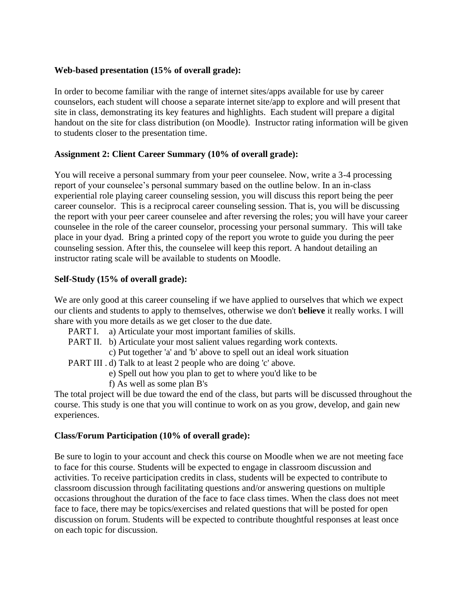### **Web-based presentation (15% of overall grade):**

In order to become familiar with the range of internet sites/apps available for use by career counselors, each student will choose a separate internet site/app to explore and will present that site in class, demonstrating its key features and highlights. Each student will prepare a digital handout on the site for class distribution (on Moodle). Instructor rating information will be given to students closer to the presentation time.

### **Assignment 2: Client Career Summary (10% of overall grade):**

You will receive a personal summary from your peer counselee. Now, write a 3-4 processing report of your counselee's personal summary based on the outline below. In an in-class experiential role playing career counseling session, you will discuss this report being the peer career counselor. This is a reciprocal career counseling session. That is, you will be discussing the report with your peer career counselee and after reversing the roles; you will have your career counselee in the role of the career counselor, processing your personal summary. This will take place in your dyad. Bring a printed copy of the report you wrote to guide you during the peer counseling session. After this, the counselee will keep this report. A handout detailing an instructor rating scale will be available to students on Moodle.

### **Self-Study (15% of overall grade):**

We are only good at this career counseling if we have applied to ourselves that which we expect our clients and students to apply to themselves, otherwise we don't **believe** it really works. I will share with you more details as we get closer to the due date.

- PART I. a) Articulate your most important families of skills.
- PART II. b) Articulate your most salient values regarding work contexts.
	- c) Put together 'a' and 'b' above to spell out an ideal work situation
- PART III . d) Talk to at least 2 people who are doing 'c' above.
	- e) Spell out how you plan to get to where you'd like to be
	- f) As well as some plan B's

The total project will be due toward the end of the class, but parts will be discussed throughout the course. This study is one that you will continue to work on as you grow, develop, and gain new experiences.

### **Class/Forum Participation (10% of overall grade):**

Be sure to login to your account and check this course on Moodle when we are not meeting face to face for this course. Students will be expected to engage in classroom discussion and activities. To receive participation credits in class, students will be expected to contribute to classroom discussion through facilitating questions and/or answering questions on multiple occasions throughout the duration of the face to face class times. When the class does not meet face to face, there may be topics/exercises and related questions that will be posted for open discussion on forum. Students will be expected to contribute thoughtful responses at least once on each topic for discussion.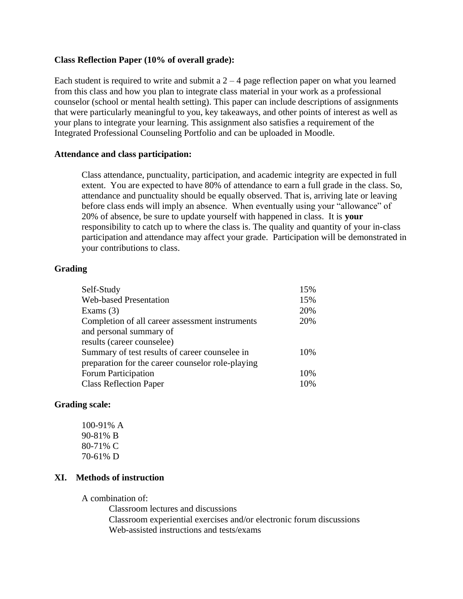### **Class Reflection Paper (10% of overall grade):**

Each student is required to write and submit a  $2 - 4$  page reflection paper on what you learned from this class and how you plan to integrate class material in your work as a professional counselor (school or mental health setting). This paper can include descriptions of assignments that were particularly meaningful to you, key takeaways, and other points of interest as well as your plans to integrate your learning. This assignment also satisfies a requirement of the Integrated Professional Counseling Portfolio and can be uploaded in Moodle.

#### **Attendance and class participation:**

Class attendance, punctuality, participation, and academic integrity are expected in full extent. You are expected to have 80% of attendance to earn a full grade in the class. So, attendance and punctuality should be equally observed. That is, arriving late or leaving before class ends will imply an absence. When eventually using your "allowance" of 20% of absence, be sure to update yourself with happened in class. It is **your** responsibility to catch up to where the class is. The quality and quantity of your in-class participation and attendance may affect your grade. Participation will be demonstrated in your contributions to class.

### **Grading**

| Self-Study                                        | 15% |
|---------------------------------------------------|-----|
| <b>Web-based Presentation</b>                     | 15% |
| Exams $(3)$                                       | 20% |
| Completion of all career assessment instruments   | 20% |
| and personal summary of                           |     |
| results (career counselee)                        |     |
| Summary of test results of career counselee in    | 10% |
| preparation for the career counselor role-playing |     |
| <b>Forum Participation</b>                        | 10% |
| <b>Class Reflection Paper</b>                     | 10% |

### **Grading scale:**

100-91% A 90-81% B 80-71% C 70-61% D

### **XI. Methods of instruction**

A combination of:

Classroom lectures and discussions Classroom experiential exercises and/or electronic forum discussions Web-assisted instructions and tests/exams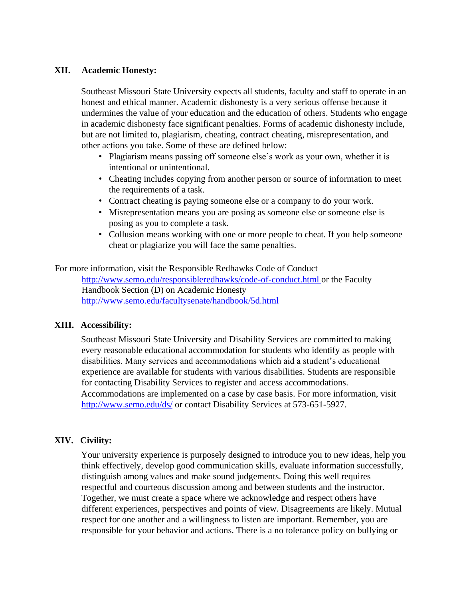### **XII. Academic Honesty:**

Southeast Missouri State University expects all students, faculty and staff to operate in an honest and ethical manner. Academic dishonesty is a very serious offense because it undermines the value of your education and the education of others. Students who engage in academic dishonesty face significant penalties. Forms of academic dishonesty include, but are not limited to, plagiarism, cheating, contract cheating, misrepresentation, and other actions you take. Some of these are defined below:

- Plagiarism means passing off someone else's work as your own, whether it is intentional or unintentional.
- Cheating includes copying from another person or source of information to meet the requirements of a task.
- Contract cheating is paying someone else or a company to do your work.
- Misrepresentation means you are posing as someone else or someone else is posing as you to complete a task.
- Collusion means working with one or more people to cheat. If you help someone cheat or plagiarize you will face the same penalties.

For more information, visit the Responsible Redhawks Code of Conduct <http://www.semo.edu/responsibleredhawks/code-of-conduct.html> or the Faculty Handbook Section (D) on Academic Honesty <http://www.semo.edu/facultysenate/handbook/5d.html>

### **XIII. Accessibility:**

Southeast Missouri State University and Disability Services are committed to making every reasonable educational accommodation for students who identify as people with disabilities. Many services and accommodations which aid a student's educational experience are available for students with various disabilities. Students are responsible for contacting Disability Services to register and access accommodations. Accommodations are implemented on a case by case basis. For more information, visit <http://www.semo.edu/ds/> or contact Disability Services at 573-651-5927.

### **XIV. Civility:**

Your university experience is purposely designed to introduce you to new ideas, help you think effectively, develop good communication skills, evaluate information successfully, distinguish among values and make sound judgements. Doing this well requires respectful and courteous discussion among and between students and the instructor. Together, we must create a space where we acknowledge and respect others have different experiences, perspectives and points of view. Disagreements are likely. Mutual respect for one another and a willingness to listen are important. Remember, you are responsible for your behavior and actions. There is a no tolerance policy on bullying or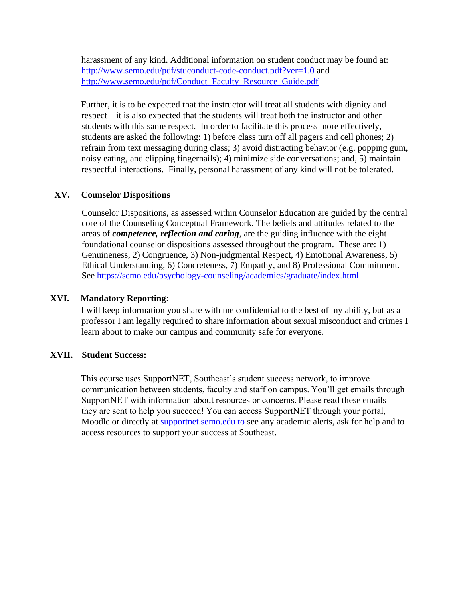harassment of any kind. Additional information on student conduct may be found at: <http://www.semo.edu/pdf/stuconduct-code-conduct.pdf?ver=1.0> and [http://www.semo.edu/pdf/Conduct\\_Faculty\\_Resource\\_Guide.pdf](http://www.semo.edu/pdf/Conduct_Faculty_Resource_Guide.pdf)

Further, it is to be expected that the instructor will treat all students with dignity and respect – it is also expected that the students will treat both the instructor and other students with this same respect. In order to facilitate this process more effectively, students are asked the following: 1) before class turn off all pagers and cell phones; 2) refrain from text messaging during class; 3) avoid distracting behavior (e.g. popping gum, noisy eating, and clipping fingernails); 4) minimize side conversations; and, 5) maintain respectful interactions. Finally, personal harassment of any kind will not be tolerated.

### **XV. Counselor Dispositions**

Counselor Dispositions, as assessed within Counselor Education are guided by the central core of the Counseling Conceptual Framework. The beliefs and attitudes related to the areas of *competence, reflection and caring*, are the guiding influence with the eight foundational counselor dispositions assessed throughout the program. These are: 1) Genuineness, 2) Congruence, 3) Non-judgmental Respect, 4) Emotional Awareness, 5) Ethical Understanding, 6) Concreteness, 7) Empathy, and 8) Professional Commitment. See<https://semo.edu/psychology-counseling/academics/graduate/index.html>

### **XVI. Mandatory Reporting:**

I will keep information you share with me confidential to the best of my ability, but as a professor I am legally required to share information about sexual misconduct and crimes I learn about to make our campus and community safe for everyone.

### **XVII. Student Success:**

This course uses SupportNET, Southeast's student success network, to improve communication between students, faculty and staff on campus. You'll get emails through SupportNET with information about resources or concerns. Please read these emails they are sent to help you succeed! You can access SupportNET through your portal, Moodle or directly at supportnet.semo.edu to see any academic alerts, ask for help and to access resources to support your success at Southeast.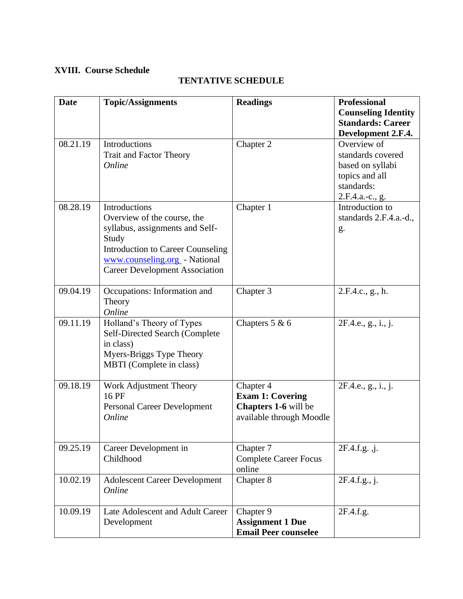## **XVIII. Course Schedule**

| Date     | <b>Topic/Assignments</b>                                                                 | <b>Readings</b> | <b>Professional</b><br><b>Counseling Identity</b><br><b>Standards: Career</b><br>Development 2.F.4.     |
|----------|------------------------------------------------------------------------------------------|-----------------|---------------------------------------------------------------------------------------------------------|
| 08.21.19 | <b>Introductions</b><br><b>Trait and Factor Theory</b><br>Online                         | Chapter 2       | Overview of<br>standards covered<br>based on syllabi<br>topics and all<br>standards:<br>2.F.4.a.-c., g. |
| 08.28.19 | Introductions<br>Overview of the course, the<br>syllabus, assignments and Self-<br>Study | Chapter 1       | Introduction to<br>standards 2.F.4.a.-d.,<br>g.                                                         |

# **TENTATIVE SCHEDULE**

|          | Trait and Factor Theory<br><b>Online</b>                                                                                                                                                                       |                                                                                          | standards covered<br>based on syllabi<br>topics and all<br>standards:<br>2.F.4.a.-c., g. |
|----------|----------------------------------------------------------------------------------------------------------------------------------------------------------------------------------------------------------------|------------------------------------------------------------------------------------------|------------------------------------------------------------------------------------------|
| 08.28.19 | Introductions<br>Overview of the course, the<br>syllabus, assignments and Self-<br>Study<br><b>Introduction to Career Counseling</b><br>www.counseling.org - National<br><b>Career Development Association</b> | Chapter 1                                                                                | Introduction to<br>standards 2.F.4.a.-d.,<br>g.                                          |
| 09.04.19 | Occupations: Information and<br>Theory<br>Online                                                                                                                                                               | Chapter 3                                                                                | 2.F.4.c., g., h.                                                                         |
| 09.11.19 | Holland's Theory of Types<br>Self-Directed Search (Complete<br>in class)<br>Myers-Briggs Type Theory<br>MBTI (Complete in class)                                                                               | Chapters $5 & 6$                                                                         | 2F.4.e., g., i., j.                                                                      |
| 09.18.19 | Work Adjustment Theory<br>16 PF<br><b>Personal Career Development</b><br>Online                                                                                                                                | Chapter 4<br><b>Exam 1: Covering</b><br>Chapters 1-6 will be<br>available through Moodle | 2F.4.e., g., i., j.                                                                      |
| 09.25.19 | Career Development in<br>Childhood                                                                                                                                                                             | Chapter 7<br><b>Complete Career Focus</b><br>online                                      | 2F.4.f.g., j.                                                                            |
| 10.02.19 | <b>Adolescent Career Development</b><br>Online                                                                                                                                                                 | Chapter 8                                                                                | 2F.4.f.g., j.                                                                            |
| 10.09.19 | Late Adolescent and Adult Career<br>Development                                                                                                                                                                | Chapter 9<br><b>Assignment 1 Due</b><br><b>Email Peer counselee</b>                      | 2F.4.f.g.                                                                                |